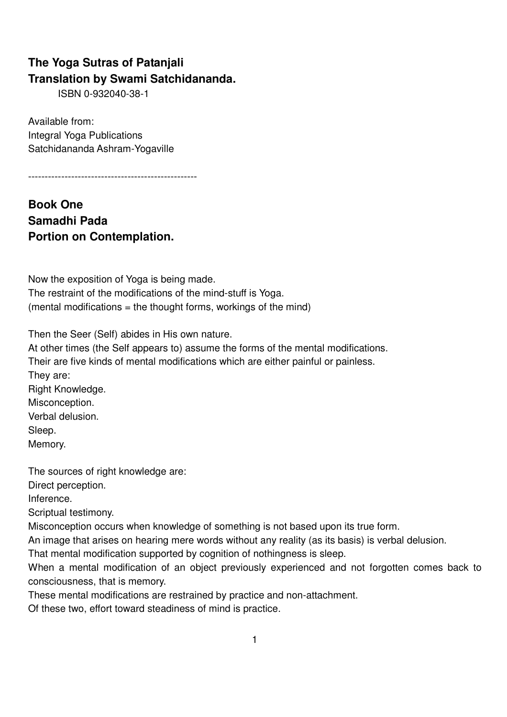# **The Yoga Sutras of Patanjali Translation by Swami Satchidananda.**

ISBN 0-932040-38-1

Available from: Integral Yoga Publications Satchidananda Ashram-Yogaville

---------------------------------------------------

### **Book One Samadhi Pada Portion on Contemplation.**

Now the exposition of Yoga is being made. The restraint of the modifications of the mind-stuff is Yoga. (mental modifications = the thought forms, workings of the mind)

Then the Seer (Self) abides in His own nature.

At other times (the Self appears to) assume the forms of the mental modifications. Their are five kinds of mental modifications which are either painful or painless. They are: Right Knowledge. Misconception. Verbal delusion. Sleep. Memory.

The sources of right knowledge are:

Direct perception.

Inference.

Scriptual testimony.

Misconception occurs when knowledge of something is not based upon its true form.

An image that arises on hearing mere words without any reality (as its basis) is verbal delusion.

That mental modification supported by cognition of nothingness is sleep.

When a mental modification of an object previously experienced and not forgotten comes back to consciousness, that is memory.

These mental modifications are restrained by practice and non-attachment.

Of these two, effort toward steadiness of mind is practice.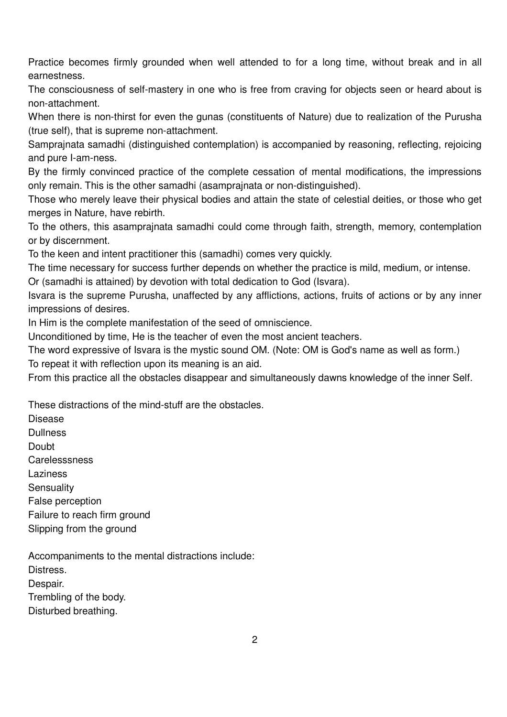Practice becomes firmly grounded when well attended to for a long time, without break and in all earnestness.

The consciousness of self-mastery in one who is free from craving for objects seen or heard about is non-attachment.

When there is non-thirst for even the gunas (constituents of Nature) due to realization of the Purusha (true self), that is supreme non-attachment.

Samprajnata samadhi (distinguished contemplation) is accompanied by reasoning, reflecting, rejoicing and pure I-am-ness.

By the firmly convinced practice of the complete cessation of mental modifications, the impressions only remain. This is the other samadhi (asamprajnata or non-distinguished).

Those who merely leave their physical bodies and attain the state of celestial deities, or those who get merges in Nature, have rebirth.

To the others, this asamprajnata samadhi could come through faith, strength, memory, contemplation or by discernment.

To the keen and intent practitioner this (samadhi) comes very quickly.

The time necessary for success further depends on whether the practice is mild, medium, or intense.

Or (samadhi is attained) by devotion with total dedication to God (Isvara).

Isvara is the supreme Purusha, unaffected by any afflictions, actions, fruits of actions or by any inner impressions of desires.

In Him is the complete manifestation of the seed of omniscience.

Unconditioned by time, He is the teacher of even the most ancient teachers.

The word expressive of Isvara is the mystic sound OM. (Note: OM is God's name as well as form.)

To repeat it with reflection upon its meaning is an aid.

From this practice all the obstacles disappear and simultaneously dawns knowledge of the inner Self.

These distractions of the mind-stuff are the obstacles.

Disease

**Dullness** 

Doubt

**Carelesssness** 

**Laziness** 

**Sensuality** 

False perception

Failure to reach firm ground

Slipping from the ground

Accompaniments to the mental distractions include: Distress.

Despair.

Trembling of the body.

Disturbed breathing.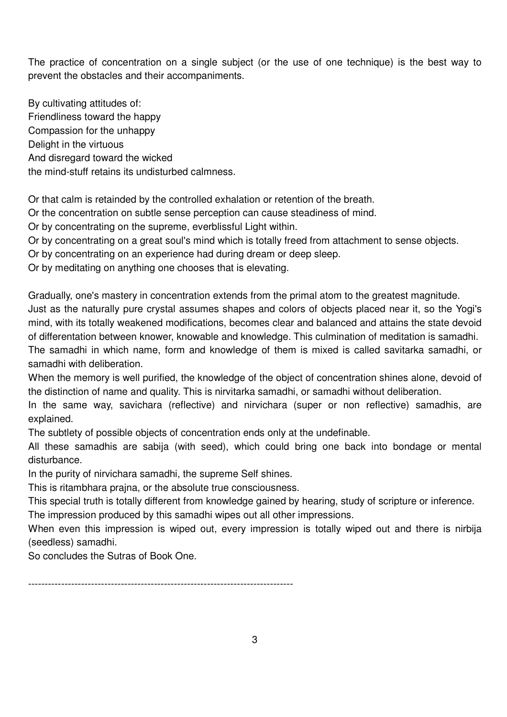The practice of concentration on a single subject (or the use of one technique) is the best way to prevent the obstacles and their accompaniments.

By cultivating attitudes of: Friendliness toward the happy Compassion for the unhappy Delight in the virtuous And disregard toward the wicked the mind-stuff retains its undisturbed calmness.

Or that calm is retainded by the controlled exhalation or retention of the breath.

Or the concentration on subtle sense perception can cause steadiness of mind.

Or by concentrating on the supreme, everblissful Light within.

Or by concentrating on a great soul's mind which is totally freed from attachment to sense objects.

Or by concentrating on an experience had during dream or deep sleep.

Or by meditating on anything one chooses that is elevating.

Gradually, one's mastery in concentration extends from the primal atom to the greatest magnitude.

Just as the naturally pure crystal assumes shapes and colors of objects placed near it, so the Yogi's mind, with its totally weakened modifications, becomes clear and balanced and attains the state devoid of differentation between knower, knowable and knowledge. This culmination of meditation is samadhi.

The samadhi in which name, form and knowledge of them is mixed is called savitarka samadhi, or samadhi with deliberation.

When the memory is well purified, the knowledge of the object of concentration shines alone, devoid of the distinction of name and quality. This is nirvitarka samadhi, or samadhi without deliberation.

In the same way, savichara (reflective) and nirvichara (super or non reflective) samadhis, are explained.

The subtlety of possible objects of concentration ends only at the undefinable.

All these samadhis are sabija (with seed), which could bring one back into bondage or mental disturbance.

In the purity of nirvichara samadhi, the supreme Self shines.

This is ritambhara prajna, or the absolute true consciousness.

This special truth is totally different from knowledge gained by hearing, study of scripture or inference.

The impression produced by this samadhi wipes out all other impressions.

When even this impression is wiped out, every impression is totally wiped out and there is nirbija (seedless) samadhi.

So concludes the Sutras of Book One.

--------------------------------------------------------------------------------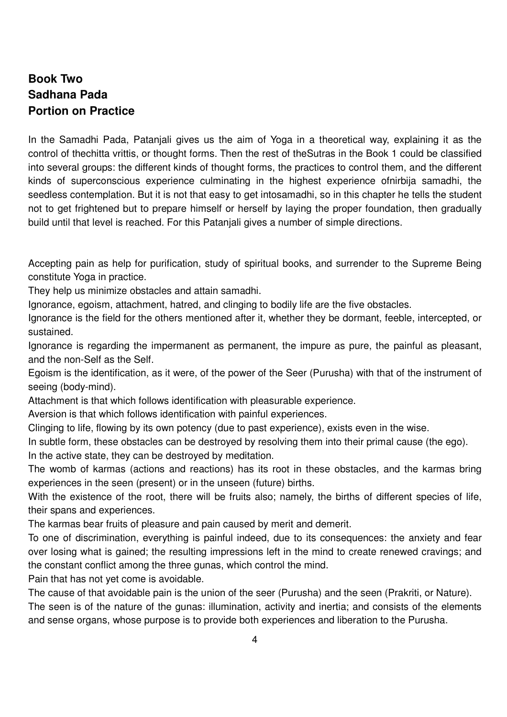### **Book Two Sadhana Pada Portion on Practice**

In the Samadhi Pada, Patanjali gives us the aim of Yoga in a theoretical way, explaining it as the control of thechitta vrittis, or thought forms. Then the rest of theSutras in the Book 1 could be classified into several groups: the different kinds of thought forms, the practices to control them, and the different kinds of superconscious experience culminating in the highest experience ofnirbija samadhi, the seedless contemplation. But it is not that easy to get intosamadhi, so in this chapter he tells the student not to get frightened but to prepare himself or herself by laying the proper foundation, then gradually build until that level is reached. For this Patanjali gives a number of simple directions.

Accepting pain as help for purification, study of spiritual books, and surrender to the Supreme Being constitute Yoga in practice.

They help us minimize obstacles and attain samadhi.

Ignorance, egoism, attachment, hatred, and clinging to bodily life are the five obstacles.

Ignorance is the field for the others mentioned after it, whether they be dormant, feeble, intercepted, or sustained.

Ignorance is regarding the impermanent as permanent, the impure as pure, the painful as pleasant, and the non-Self as the Self.

Egoism is the identification, as it were, of the power of the Seer (Purusha) with that of the instrument of seeing (body-mind).

Attachment is that which follows identification with pleasurable experience.

Aversion is that which follows identification with painful experiences.

Clinging to life, flowing by its own potency (due to past experience), exists even in the wise.

In subtle form, these obstacles can be destroyed by resolving them into their primal cause (the ego).

In the active state, they can be destroyed by meditation.

The womb of karmas (actions and reactions) has its root in these obstacles, and the karmas bring experiences in the seen (present) or in the unseen (future) births.

With the existence of the root, there will be fruits also; namely, the births of different species of life, their spans and experiences.

The karmas bear fruits of pleasure and pain caused by merit and demerit.

To one of discrimination, everything is painful indeed, due to its consequences: the anxiety and fear over losing what is gained; the resulting impressions left in the mind to create renewed cravings; and the constant conflict among the three gunas, which control the mind.

Pain that has not yet come is avoidable.

The cause of that avoidable pain is the union of the seer (Purusha) and the seen (Prakriti, or Nature). The seen is of the nature of the gunas: illumination, activity and inertia; and consists of the elements and sense organs, whose purpose is to provide both experiences and liberation to the Purusha.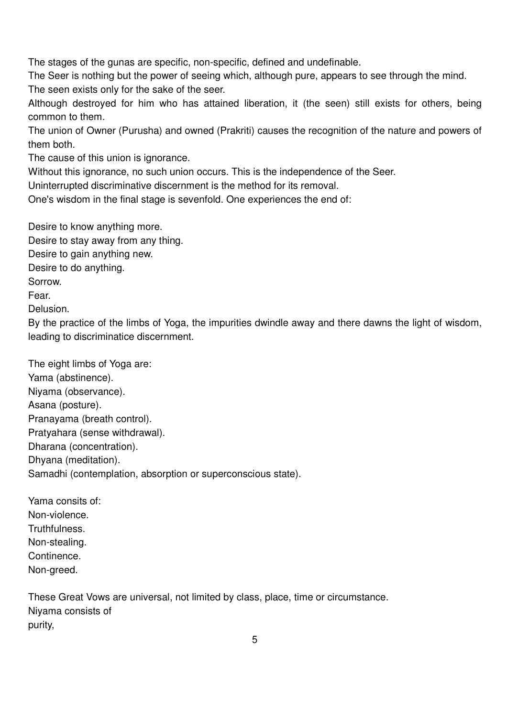The stages of the gunas are specific, non-specific, defined and undefinable.

The Seer is nothing but the power of seeing which, although pure, appears to see through the mind. The seen exists only for the sake of the seer.

Although destroyed for him who has attained liberation, it (the seen) still exists for others, being common to them.

The union of Owner (Purusha) and owned (Prakriti) causes the recognition of the nature and powers of them both.

The cause of this union is ignorance.

Without this ignorance, no such union occurs. This is the independence of the Seer.

Uninterrupted discriminative discernment is the method for its removal.

One's wisdom in the final stage is sevenfold. One experiences the end of:

Desire to know anything more.

Desire to stay away from any thing.

Desire to gain anything new.

Desire to do anything.

Sorrow.

Fear.

Delusion.

By the practice of the limbs of Yoga, the impurities dwindle away and there dawns the light of wisdom, leading to discriminatice discernment.

The eight limbs of Yoga are: Yama (abstinence). Niyama (observance). Asana (posture). Pranayama (breath control). Pratyahara (sense withdrawal). Dharana (concentration). Dhyana (meditation). Samadhi (contemplation, absorption or superconscious state).

Yama consits of: Non-violence. Truthfulness. Non-stealing. Continence. Non-greed.

These Great Vows are universal, not limited by class, place, time or circumstance. Niyama consists of purity,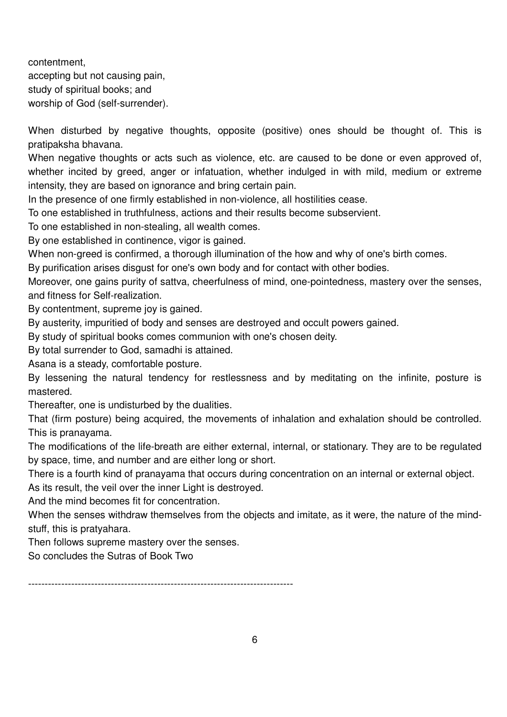contentment, accepting but not causing pain, study of spiritual books; and worship of God (self-surrender).

When disturbed by negative thoughts, opposite (positive) ones should be thought of. This is pratipaksha bhavana.

When negative thoughts or acts such as violence, etc. are caused to be done or even approved of, whether incited by greed, anger or infatuation, whether indulged in with mild, medium or extreme intensity, they are based on ignorance and bring certain pain.

In the presence of one firmly established in non-violence, all hostilities cease.

To one established in truthfulness, actions and their results become subservient.

To one established in non-stealing, all wealth comes.

By one established in continence, vigor is gained.

When non-greed is confirmed, a thorough illumination of the how and why of one's birth comes.

By purification arises disgust for one's own body and for contact with other bodies.

Moreover, one gains purity of sattva, cheerfulness of mind, one-pointedness, mastery over the senses, and fitness for Self-realization.

By contentment, supreme joy is gained.

By austerity, impuritied of body and senses are destroyed and occult powers gained.

By study of spiritual books comes communion with one's chosen deity.

By total surrender to God, samadhi is attained.

Asana is a steady, comfortable posture.

By lessening the natural tendency for restlessness and by meditating on the infinite, posture is mastered.

Thereafter, one is undisturbed by the dualities.

That (firm posture) being acquired, the movements of inhalation and exhalation should be controlled. This is pranayama.

The modifications of the life-breath are either external, internal, or stationary. They are to be regulated by space, time, and number and are either long or short.

There is a fourth kind of pranayama that occurs during concentration on an internal or external object.

As its result, the veil over the inner Light is destroyed.

And the mind becomes fit for concentration.

When the senses withdraw themselves from the objects and imitate, as it were, the nature of the mindstuff, this is pratyahara.

Then follows supreme mastery over the senses.

So concludes the Sutras of Book Two

--------------------------------------------------------------------------------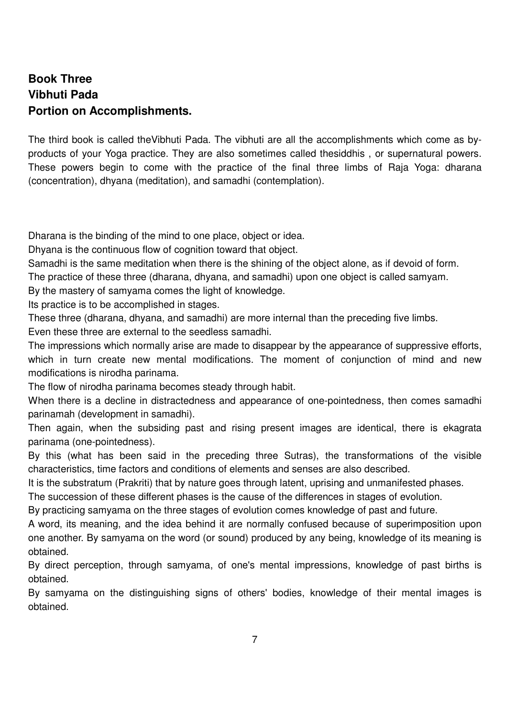## **Book Three Vibhuti Pada Portion on Accomplishments.**

The third book is called theVibhuti Pada. The vibhuti are all the accomplishments which come as byproducts of your Yoga practice. They are also sometimes called thesiddhis , or supernatural powers. These powers begin to come with the practice of the final three limbs of Raja Yoga: dharana (concentration), dhyana (meditation), and samadhi (contemplation).

Dharana is the binding of the mind to one place, object or idea.

Dhyana is the continuous flow of cognition toward that object.

Samadhi is the same meditation when there is the shining of the object alone, as if devoid of form.

The practice of these three (dharana, dhyana, and samadhi) upon one object is called samyam.

By the mastery of samyama comes the light of knowledge.

Its practice is to be accomplished in stages.

These three (dharana, dhyana, and samadhi) are more internal than the preceding five limbs.

Even these three are external to the seedless samadhi.

The impressions which normally arise are made to disappear by the appearance of suppressive efforts, which in turn create new mental modifications. The moment of conjunction of mind and new modifications is nirodha parinama.

The flow of nirodha parinama becomes steady through habit.

When there is a decline in distractedness and appearance of one-pointedness, then comes samadhi parinamah (development in samadhi).

Then again, when the subsiding past and rising present images are identical, there is ekagrata parinama (one-pointedness).

By this (what has been said in the preceding three Sutras), the transformations of the visible characteristics, time factors and conditions of elements and senses are also described.

It is the substratum (Prakriti) that by nature goes through latent, uprising and unmanifested phases.

The succession of these different phases is the cause of the differences in stages of evolution.

By practicing samyama on the three stages of evolution comes knowledge of past and future.

A word, its meaning, and the idea behind it are normally confused because of superimposition upon one another. By samyama on the word (or sound) produced by any being, knowledge of its meaning is obtained.

By direct perception, through samyama, of one's mental impressions, knowledge of past births is obtained.

By samyama on the distinguishing signs of others' bodies, knowledge of their mental images is obtained.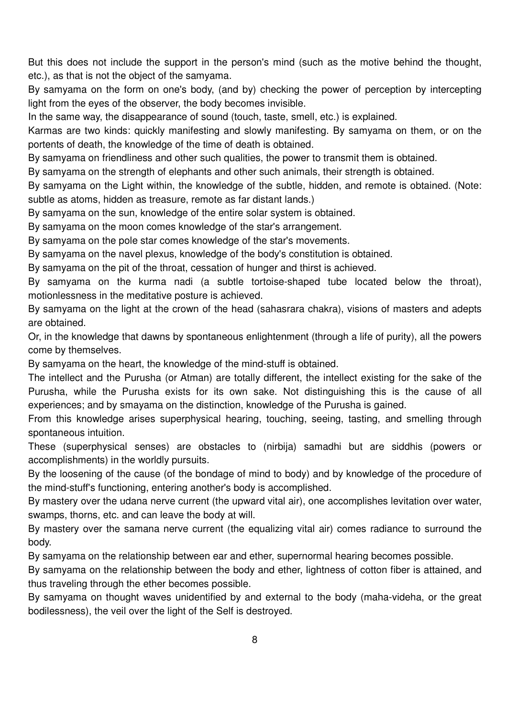But this does not include the support in the person's mind (such as the motive behind the thought, etc.), as that is not the object of the samyama.

By samyama on the form on one's body, (and by) checking the power of perception by intercepting light from the eyes of the observer, the body becomes invisible.

In the same way, the disappearance of sound (touch, taste, smell, etc.) is explained.

Karmas are two kinds: quickly manifesting and slowly manifesting. By samyama on them, or on the portents of death, the knowledge of the time of death is obtained.

By samyama on friendliness and other such qualities, the power to transmit them is obtained.

By samyama on the strength of elephants and other such animals, their strength is obtained.

By samyama on the Light within, the knowledge of the subtle, hidden, and remote is obtained. (Note: subtle as atoms, hidden as treasure, remote as far distant lands.)

By samyama on the sun, knowledge of the entire solar system is obtained.

By samyama on the moon comes knowledge of the star's arrangement.

By samyama on the pole star comes knowledge of the star's movements.

By samyama on the navel plexus, knowledge of the body's constitution is obtained.

By samyama on the pit of the throat, cessation of hunger and thirst is achieved.

By samyama on the kurma nadi (a subtle tortoise-shaped tube located below the throat), motionlessness in the meditative posture is achieved.

By samyama on the light at the crown of the head (sahasrara chakra), visions of masters and adepts are obtained.

Or, in the knowledge that dawns by spontaneous enlightenment (through a life of purity), all the powers come by themselves.

By samyama on the heart, the knowledge of the mind-stuff is obtained.

The intellect and the Purusha (or Atman) are totally different, the intellect existing for the sake of the Purusha, while the Purusha exists for its own sake. Not distinguishing this is the cause of all experiences; and by smayama on the distinction, knowledge of the Purusha is gained.

From this knowledge arises superphysical hearing, touching, seeing, tasting, and smelling through spontaneous intuition.

These (superphysical senses) are obstacles to (nirbija) samadhi but are siddhis (powers or accomplishments) in the worldly pursuits.

By the loosening of the cause (of the bondage of mind to body) and by knowledge of the procedure of the mind-stuff's functioning, entering another's body is accomplished.

By mastery over the udana nerve current (the upward vital air), one accomplishes levitation over water, swamps, thorns, etc. and can leave the body at will.

By mastery over the samana nerve current (the equalizing vital air) comes radiance to surround the body.

By samyama on the relationship between ear and ether, supernormal hearing becomes possible.

By samyama on the relationship between the body and ether, lightness of cotton fiber is attained, and thus traveling through the ether becomes possible.

By samyama on thought waves unidentified by and external to the body (maha-videha, or the great bodilessness), the veil over the light of the Self is destroyed.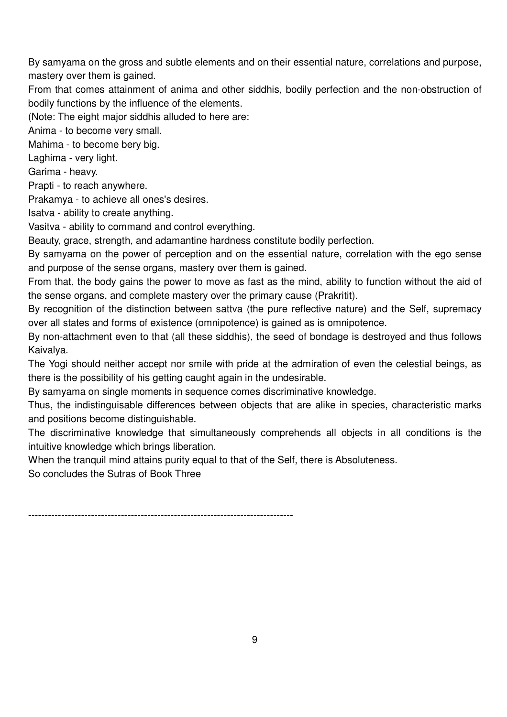By samyama on the gross and subtle elements and on their essential nature, correlations and purpose, mastery over them is gained.

From that comes attainment of anima and other siddhis, bodily perfection and the non-obstruction of bodily functions by the influence of the elements.

(Note: The eight major siddhis alluded to here are:

Anima - to become very small.

Mahima - to become bery big.

Laghima - very light.

Garima - heavy.

Prapti - to reach anywhere.

Prakamya - to achieve all ones's desires.

Isatva - ability to create anything.

Vasitva - ability to command and control everything.

Beauty, grace, strength, and adamantine hardness constitute bodily perfection.

By samyama on the power of perception and on the essential nature, correlation with the ego sense and purpose of the sense organs, mastery over them is gained.

From that, the body gains the power to move as fast as the mind, ability to function without the aid of the sense organs, and complete mastery over the primary cause (Prakritit).

By recognition of the distinction between sattva (the pure reflective nature) and the Self, supremacy over all states and forms of existence (omnipotence) is gained as is omnipotence.

By non-attachment even to that (all these siddhis), the seed of bondage is destroyed and thus follows Kaivalya.

The Yogi should neither accept nor smile with pride at the admiration of even the celestial beings, as there is the possibility of his getting caught again in the undesirable.

By samyama on single moments in sequence comes discriminative knowledge.

Thus, the indistinguisable differences between objects that are alike in species, characteristic marks and positions become distinguishable.

The discriminative knowledge that simultaneously comprehends all objects in all conditions is the intuitive knowledge which brings liberation.

When the tranquil mind attains purity equal to that of the Self, there is Absoluteness.

So concludes the Sutras of Book Three

--------------------------------------------------------------------------------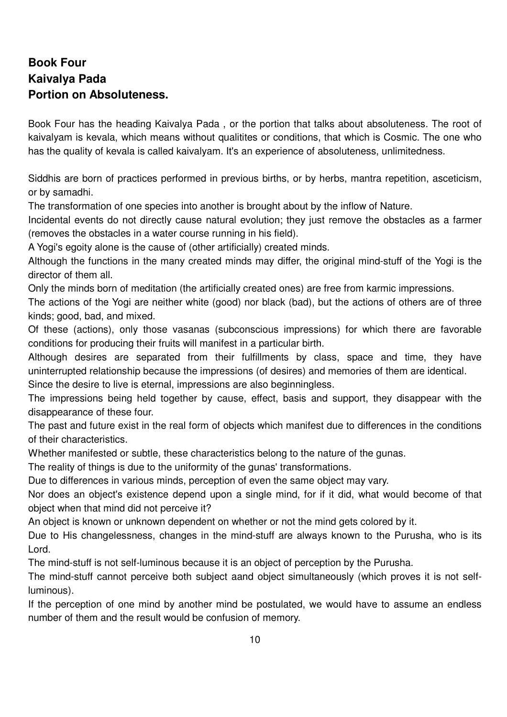### **Book Four Kaivalya Pada Portion on Absoluteness.**

Book Four has the heading Kaivalya Pada , or the portion that talks about absoluteness. The root of kaivalyam is kevala, which means without qualitites or conditions, that which is Cosmic. The one who has the quality of kevala is called kaivalyam. It's an experience of absoluteness, unlimitedness.

Siddhis are born of practices performed in previous births, or by herbs, mantra repetition, asceticism, or by samadhi.

The transformation of one species into another is brought about by the inflow of Nature.

Incidental events do not directly cause natural evolution; they just remove the obstacles as a farmer (removes the obstacles in a water course running in his field).

A Yogi's egoity alone is the cause of (other artificially) created minds.

Although the functions in the many created minds may differ, the original mind-stuff of the Yogi is the director of them all.

Only the minds born of meditation (the artificially created ones) are free from karmic impressions.

The actions of the Yogi are neither white (good) nor black (bad), but the actions of others are of three kinds; good, bad, and mixed.

Of these (actions), only those vasanas (subconscious impressions) for which there are favorable conditions for producing their fruits will manifest in a particular birth.

Although desires are separated from their fulfillments by class, space and time, they have uninterrupted relationship because the impressions (of desires) and memories of them are identical. Since the desire to live is eternal, impressions are also beginningless.

The impressions being held together by cause, effect, basis and support, they disappear with the disappearance of these four.

The past and future exist in the real form of objects which manifest due to differences in the conditions of their characteristics.

Whether manifested or subtle, these characteristics belong to the nature of the gunas.

The reality of things is due to the uniformity of the gunas' transformations.

Due to differences in various minds, perception of even the same object may vary.

Nor does an object's existence depend upon a single mind, for if it did, what would become of that object when that mind did not perceive it?

An object is known or unknown dependent on whether or not the mind gets colored by it.

Due to His changelessness, changes in the mind-stuff are always known to the Purusha, who is its Lord.

The mind-stuff is not self-luminous because it is an object of perception by the Purusha.

The mind-stuff cannot perceive both subject aand object simultaneously (which proves it is not selfluminous).

If the perception of one mind by another mind be postulated, we would have to assume an endless number of them and the result would be confusion of memory.